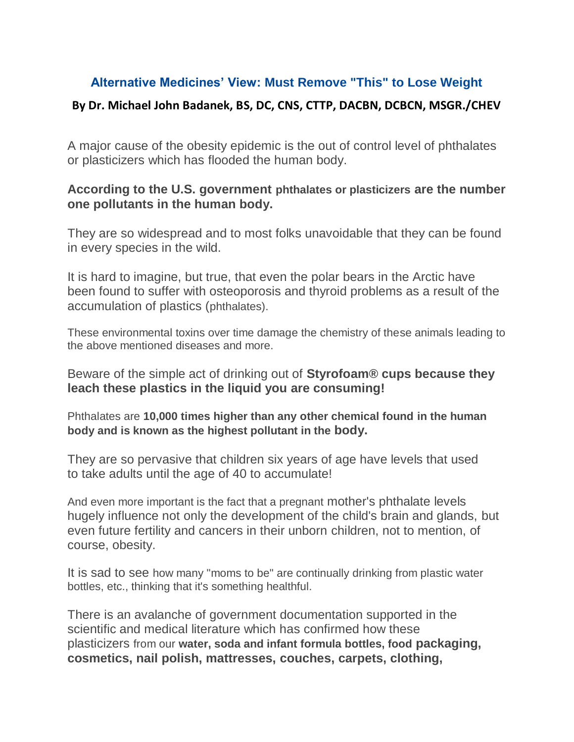## **Alternative Medicines' View: Must Remove "This" to Lose Weight**

## **By Dr. Michael John Badanek, BS, DC, CNS, CTTP, DACBN, DCBCN, MSGR./CHEV**

A major cause of the obesity epidemic is the out of control level of phthalates or plasticizers which has flooded the human body.

## **According to the U.S. government phthalates or plasticizers are the number one pollutants in the human body.**

They are so widespread and to most folks unavoidable that they can be found in every species in the wild.

It is hard to imagine, but true, that even the polar bears in the Arctic have been found to suffer with osteoporosis and thyroid problems as a result of the accumulation of plastics (phthalates).

These environmental toxins over time damage the chemistry of these animals leading to the above mentioned diseases and more.

Beware of the simple act of drinking out of **Styrofoam® cups because they leach these plastics in the liquid you are consuming!**

Phthalates are **10,000 times higher than any other chemical found in the human body and is known as the highest pollutant in the body.**

They are so pervasive that children six years of age have levels that used to take adults until the age of 40 to accumulate!

And even more important is the fact that a pregnant mother's phthalate levels hugely influence not only the development of the child's brain and glands, but even future fertility and cancers in their unborn children, not to mention, of course, obesity.

It is sad to see how many "moms to be" are continually drinking from plastic water bottles, etc., thinking that it's something healthful.

There is an avalanche of government documentation supported in the scientific and medical literature which has confirmed how these plasticizers from our **water, soda and infant formula bottles, food packaging, cosmetics, nail polish, mattresses, couches, carpets, clothing,**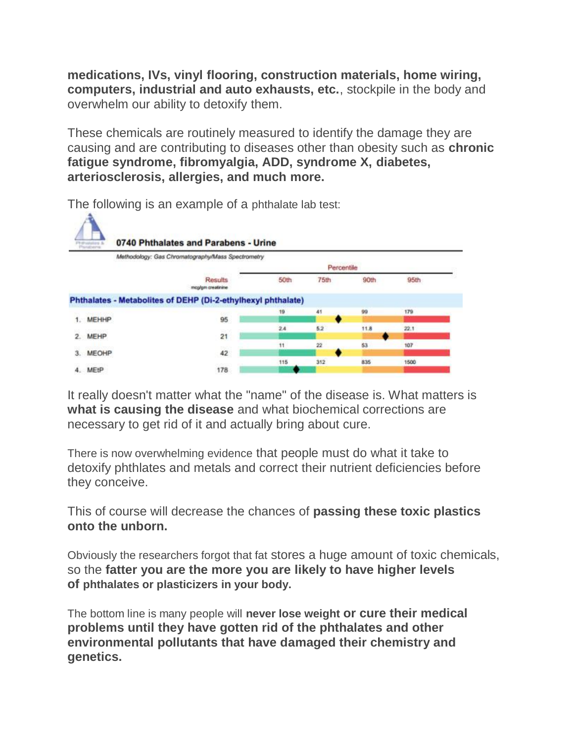**medications, IVs, vinyl flooring, construction materials, home wiring, computers, industrial and auto exhausts, etc.**, stockpile in the body and overwhelm our ability to detoxify them.

These chemicals are routinely measured to identify the damage they are causing and are contributing to diseases other than obesity such as **chronic fatigue syndrome, fibromyalgia, ADD, syndrome X, diabetes, arteriosclerosis, allergies, and much more.**



The following is an example of a phthalate lab test:

It really doesn't matter what the "name" of the disease is. What matters is **what is causing the disease** and what biochemical corrections are necessary to get rid of it and actually bring about cure.

There is now overwhelming evidence that people must do what it take to detoxify phthlates and metals and correct their nutrient deficiencies before they conceive.

This of course will decrease the chances of **passing these toxic plastics onto the unborn.**

Obviously the researchers forgot that fat stores a huge amount of toxic chemicals, so the **fatter you are the more you are likely to have higher levels of phthalates or plasticizers in your body.**

The bottom line is many people will **never lose weight or cure their medical problems until they have gotten rid of the phthalates and other environmental pollutants that have damaged their chemistry and genetics.**